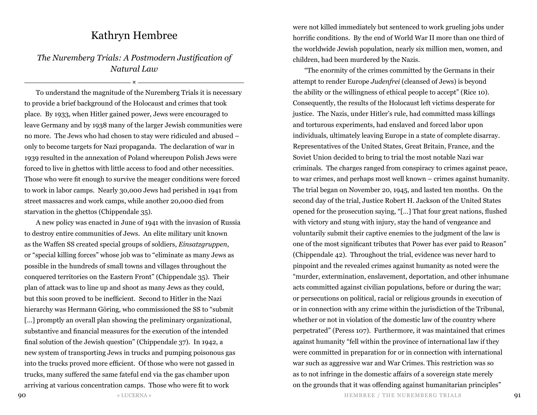## Kathryn Hembree

## *The Nuremberg Trials: A Postmodern Justification of Natural Law*

¤

To understand the magnitude of the Nuremberg Trials it is necessary to provide a brief background of the Holocaust and crimes that took place. By 1933, when Hitler gained power, Jews were encouraged to leave Germany and by 1938 many of the larger Jewish communities were no more. The Jews who had chosen to stay were ridiculed and abused – only to become targets for Nazi propaganda. The declaration of war in 1939 resulted in the annexation of Poland whereupon Polish Jews were forced to live in ghettos with little access to food and other necessities. Those who were fit enough to survive the meager conditions were forced to work in labor camps. Nearly 30,000 Jews had perished in 1941 from street massacres and work camps, while another 20,000 died from starvation in the ghettos (Chippendale 35).

A new policy was enacted in June of 1941 with the invasion of Russia to destroy entire communities of Jews. An elite military unit known as the Waffen SS created special groups of soldiers, *Einsatzgruppen*, or "special killing forces" whose job was to "eliminate as many Jews as possible in the hundreds of small towns and villages throughout the conquered territories on the Eastern Front" (Chippendale 35). Their plan of attack was to line up and shoot as many Jews as they could, but this soon proved to be inefficient. Second to Hitler in the Nazi hierarchy was Hermann Göring, who commissioned the SS to "submit [...] promptly an overall plan showing the preliminary organizational, substantive and financial measures for the execution of the intended final solution of the Jewish question" (Chippendale 37). In 1942, a new system of transporting Jews in trucks and pumping poisonous gas into the trucks proved more efficient. Of those who were not gassed in trucks, many suffered the same fateful end via the gas chamber upon arriving at various concentration camps. Those who were fit to work

were not killed immediately but sentenced to work grueling jobs under horrific conditions. By the end of World War II more than one third of the worldwide Jewish population, nearly six million men, women, and children, had been murdered by the Nazis.

"The enormity of the crimes committed by the Germans in their attempt to render Europe *Judenfrei* (cleansed of Jews) is beyond the ability or the willingness of ethical people to accept" (Rice 10). Consequently, the results of the Holocaust left victims desperate for justice. The Nazis, under Hitler's rule, had committed mass killings and torturous experiments, had enslaved and forced labor upon individuals, ultimately leaving Europe in a state of complete disarray. Representatives of the United States, Great Britain, France, and the Soviet Union decided to bring to trial the most notable Nazi war criminals. The charges ranged from conspiracy to crimes against peace, to war crimes, and perhaps most well known – crimes against humanity. The trial began on November 20, 1945, and lasted ten months. On the second day of the trial, Justice Robert H. Jackson of the United States opened for the prosecution saying, "[…] That four great nations, flushed with victory and stung with injury, stay the hand of vengeance and voluntarily submit their captive enemies to the judgment of the law is one of the most significant tributes that Power has ever paid to Reason" (Chippendale 42). Throughout the trial, evidence was never hard to pinpoint and the revealed crimes against humanity as noted were the "murder, extermination, enslavement, deportation, and other inhumane acts committed against civilian populations, before or during the war; or persecutions on political, racial or religious grounds in execution of or in connection with any crime within the jurisdiction of the Tribunal, whether or not in violation of the domestic law of the country where perpetrated" (Peress 107). Furthermore, it was maintained that crimes against humanity "fell within the province of international law if they were committed in preparation for or in connection with international war such as aggressive war and War Crimes. This restriction was so as to not infringe in the domestic affairs of a sovereign state merely on the grounds that it was offending against humanitarian principles"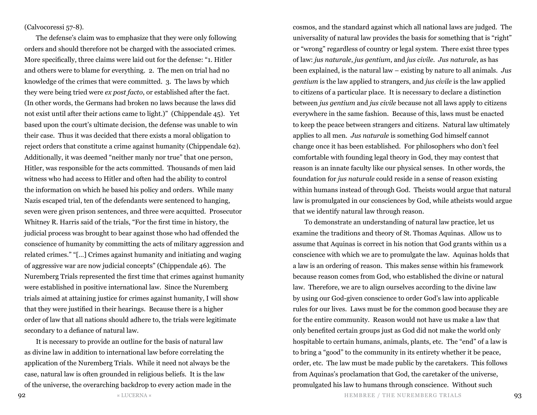## (Calvocoressi 57-8).

The defense's claim was to emphasize that they were only following orders and should therefore not be charged with the associated crimes. More specifically, three claims were laid out for the defense: "1. Hitler and others were to blame for everything. 2. The men on trial had no knowledge of the crimes that were committed. 3. The laws by which they were being tried were *ex post facto*, or established after the fact. (In other words, the Germans had broken no laws because the laws did not exist until after their actions came to light.)" (Chippendale 45). Yet based upon the court's ultimate decision, the defense was unable to win their case. Thus it was decided that there exists a moral obligation to reject orders that constitute a crime against humanity (Chippendale 62). Additionally, it was deemed "neither manly nor true" that one person, Hitler, was responsible for the acts committed. Thousands of men laid witness who had access to Hitler and often had the ability to control the information on which he based his policy and orders. While many Nazis escaped trial, ten of the defendants were sentenced to hanging, seven were given prison sentences, and three were acquitted. Prosecutor Whitney R. Harris said of the trials, "For the first time in history, the judicial process was brought to bear against those who had offended the conscience of humanity by committing the acts of military aggression and related crimes." "[…] Crimes against humanity and initiating and waging of aggressive war are now judicial concepts" (Chippendale 46). The Nuremberg Trials represented the first time that crimes against humanity were established in positive international law. Since the Nuremberg trials aimed at attaining justice for crimes against humanity, I will show that they were justified in their hearings. Because there is a higher order of law that all nations should adhere to, the trials were legitimate secondary to a defiance of natural law.

It is necessary to provide an outline for the basis of natural law as divine law in addition to international law before correlating the application of the Nuremberg Trials. While it need not always be the case, natural law is often grounded in religious beliefs. It is the law of the universe, the overarching backdrop to every action made in the

cosmos, and the standard against which all national laws are judged. The universality of natural law provides the basis for something that is "right" or "wrong" regardless of country or legal system. There exist three types of law: *jus naturale*, *jus gentium*, and *jus civile*. *Jus naturale*, as has been explained, is the natural law – existing by nature to all animals. *Jus gentium* is the law applied to strangers, and *jus civile* is the law applied to citizens of a particular place. It is necessary to declare a distinction between *jus gentium* and *jus civile* because not all laws apply to citizens everywhere in the same fashion. Because of this, laws must be enacted to keep the peace between strangers and citizens. Natural law ultimately applies to all men. *Jus naturale* is something God himself cannot change once it has been established. For philosophers who don't feel comfortable with founding legal theory in God, they may contest that reason is an innate faculty like our physical senses. In other words, the foundation for *jus naturale* could reside in a sense of reason existing within humans instead of through God. Theists would argue that natural law is promulgated in our consciences by God, while atheists would argue that we identify natural law through reason.

To demonstrate an understanding of natural law practice, let us examine the traditions and theory of St. Thomas Aquinas. Allow us to assume that Aquinas is correct in his notion that God grants within us a conscience with which we are to promulgate the law. Aquinas holds that a law is an ordering of reason. This makes sense within his framework because reason comes from God, who established the divine or natural law. Therefore, we are to align ourselves according to the divine law by using our God-given conscience to order God's law into applicable rules for our lives. Laws must be for the common good because they are for the entire community. Reason would not have us make a law that only benefited certain groups just as God did not make the world only hospitable to certain humans, animals, plants, etc. The "end" of a law is to bring a "good" to the community in its entirety whether it be peace, order, etc. The law must be made public by the caretakers. This follows from Aquinas's proclamation that God, the caretaker of the universe, promulgated his law to humans through conscience. Without such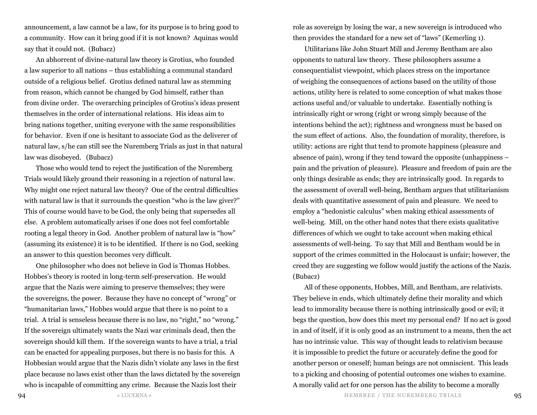announcement, a law cannot be a law, for its purpose is to bring good to a community. How can it bring good if it is not known? Aquinas would say that it could not. (Bubacz)

An abhorrent of divine-natural law theory is Grotius, who founded a law superior to all nations – thus establishing a communal standard outside of a religious belief. Grotius defined natural law as stemming from reason, which cannot be changed by God himself, rather than from divine order. The overarching principles of Grotius's ideas present themselves in the order of international relations. His ideas aim to bring nations together, uniting everyone with the same responsibilities for behavior. Even if one is hesitant to associate God as the deliverer of natural law, s/he can still see the Nuremberg Trials as just in that natural law was disobeyed. (Bubacz)

Those who would tend to reject the justification of the Nuremberg Trials would likely ground their reasoning in a rejection of natural law. Why might one reject natural law theory? One of the central difficulties with natural law is that it surrounds the question "who is the law giver?" This of course would have to be God, the only being that supersedes all else. A problem automatically arises if one does not feel comfortable rooting a legal theory in God. Another problem of natural law is "how" (assuming its existence) it is to be identified. If there is no God, seeking an answer to this question becomes very difficult.

One philosopher who does not believe in God is Thomas Hobbes. Hobbes's theory is rooted in long-term self-preservation. He would argue that the Nazis were aiming to preserve themselves; they were the sovereigns, the power. Because they have no concept of "wrong" or "humanitarian laws," Hobbes would argue that there is no point to a trial. A trial is senseless because there is no law, no "right," no "wrong." If the sovereign ultimately wants the Nazi war criminals dead, then the sovereign should kill them. If the sovereign wants to have a trial, a trial can be enacted for appealing purposes, but there is no basis for this. A Hobbesian would argue that the Nazis didn't violate any laws in the first place because no laws exist other than the laws dictated by the sovereign who is incapable of committing any crime. Because the Nazis lost their

role as sovereign by losing the war, a new sovereign is introduced who then provides the standard for a new set of "laws" (Kemerling 1).

Utilitarians like John Stuart Mill and Jeremy Bentham are also opponents to natural law theory. These philosophers assume a consequentialist viewpoint, which places stress on the importance of weighing the consequences of actions based on the utility of those actions, utility here is related to some conception of what makes those actions useful and/or valuable to undertake. Essentially nothing is intrinsically right or wrong (right or wrong simply because of the intentions behind the act); rightness and wrongness must be based on the sum effect of actions. Also, the foundation of morality, therefore, is utility: actions are right that tend to promote happiness (pleasure and absence of pain), wrong if they tend toward the opposite (unhappiness – pain and the privation of pleasure). Pleasure and freedom of pain are the only things desirable as ends; they are intrinsically good. In regards to the assessment of overall well-being, Bentham argues that utilitarianism deals with quantitative assessment of pain and pleasure. We need to employ a "hedonistic calculus" when making ethical assessments of well-being. Mill, on the other hand notes that there exists qualitative differences of which we ought to take account when making ethical assessments of well-being. To say that Mill and Bentham would be in support of the crimes committed in the Holocaust is unfair; however, the creed they are suggesting we follow would justify the actions of the Nazis. (Bubacz)

All of these opponents, Hobbes, Mill, and Bentham, are relativists. They believe in ends, which ultimately define their morality and which lead to immorality because there is nothing intrinsically good or evil; it begs the question, how does this meet my personal end? If no act is good in and of itself, if it is only good as an instrument to a means, then the act has no intrinsic value. This way of thought leads to relativism because it is impossible to predict the future or accurately define the good for another person or oneself; human beings are not omniscient. This leads to a picking and choosing of potential outcomes one wishes to examine. A morally valid act for one person has the ability to become a morally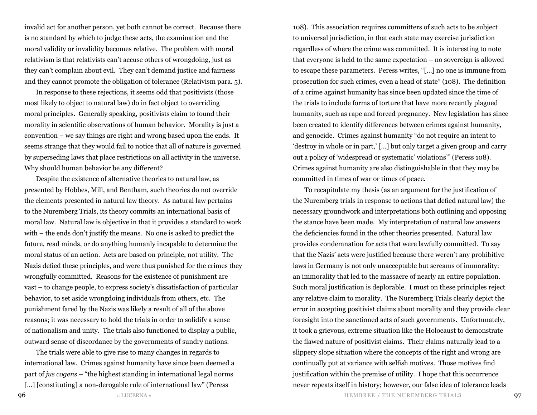invalid act for another person, yet both cannot be correct. Because there is no standard by which to judge these acts, the examination and the moral validity or invalidity becomes relative. The problem with moral relativism is that relativists can't accuse others of wrongdoing, just as they can't complain about evil. They can't demand justice and fairness and they cannot promote the obligation of tolerance (Relativism para. 5).

In response to these rejections, it seems odd that positivists (those most likely to object to natural law) do in fact object to overriding moral principles. Generally speaking, positivists claim to found their morality in scientific observations of human behavior. Morality is just a convention – we say things are right and wrong based upon the ends. It seems strange that they would fail to notice that all of nature is governed by superseding laws that place restrictions on all activity in the universe. Why should human behavior be any different?

Despite the existence of alternative theories to natural law, as presented by Hobbes, Mill, and Bentham, such theories do not override the elements presented in natural law theory. As natural law pertains to the Nuremberg Trials, its theory commits an international basis of moral law. Natural law is objective in that it provides a standard to work with – the ends don't justify the means. No one is asked to predict the future, read minds, or do anything humanly incapable to determine the moral status of an action. Acts are based on principle, not utility. The Nazis defied these principles, and were thus punished for the crimes they wrongfully committed. Reasons for the existence of punishment are vast – to change people, to express society's dissatisfaction of particular behavior, to set aside wrongdoing individuals from others, etc. The punishment fared by the Nazis was likely a result of all of the above reasons; it was necessary to hold the trials in order to solidify a sense of nationalism and unity. The trials also functioned to display a public, outward sense of discordance by the governments of sundry nations.

The trials were able to give rise to many changes in regards to international law. Crimes against humanity have since been deemed a part of *jus cogens* – "the highest standing in international legal norms

[...] [constituting] a non-derogable rule of international law" (Peress

108). This association requires committers of such acts to be subject to universal jurisdiction, in that each state may exercise jurisdiction regardless of where the crime was committed. It is interesting to note that everyone is held to the same expectation – no sovereign is allowed to escape these parameters. Peress writes, "[…] no one is immune from prosecution for such crimes, even a head of state" (108). The definition of a crime against humanity has since been updated since the time of the trials to include forms of torture that have more recently plagued humanity, such as rape and forced pregnancy. New legislation has since been created to identify differences between crimes against humanity, and genocide. Crimes against humanity "do not require an intent to 'destroy in whole or in part,' […] but only target a given group and carry out a policy of 'widespread or systematic' violations'" (Peress 108). Crimes against humanity are also distinguishable in that they may be committed in times of war or times of peace.

To recapitulate my thesis (as an argument for the justification of the Nuremberg trials in response to actions that defied natural law) the necessary groundwork and interpretations both outlining and opposing the stance have been made. My interpretation of natural law answers the deficiencies found in the other theories presented. Natural law provides condemnation for acts that were lawfully committed. To say that the Nazis' acts were justified because there weren't any prohibitive laws in Germany is not only unacceptable but screams of immorality: an immorality that led to the massacre of nearly an entire population. Such moral justification is deplorable. I must on these principles reject any relative claim to morality. The Nuremberg Trials clearly depict the error in accepting positivist claims about morality and they provide clear foresight into the sanctioned acts of such governments. Unfortunately, it took a grievous, extreme situation like the Holocaust to demonstrate the flawed nature of positivist claims. Their claims naturally lead to a slippery slope situation where the concepts of the right and wrong are continually put at variance with selfish motives. Those motives find justification within the premise of utility. I hope that this occurrence never repeats itself in history; however, our false idea of tolerance leads

 $\overline{\phantom{0}}$  97  $\overline{\phantom{0}}$  b  $\overline{\phantom{0}}$  b  $\overline{\phantom{0}}$  b  $\overline{\phantom{0}}$  b  $\overline{\phantom{0}}$  b  $\overline{\phantom{0}}$  b  $\overline{\phantom{0}}$  b  $\overline{\phantom{0}}$  b  $\overline{\phantom{0}}$  b  $\overline{\phantom{0}}$  b  $\overline{\phantom{0}}$  b  $\overline{\phantom{0}}$  b  $\overline{\phantom{0}}$  b  $\overline{\phantom{0}}$  b  $\overline{\phantom{0}}$